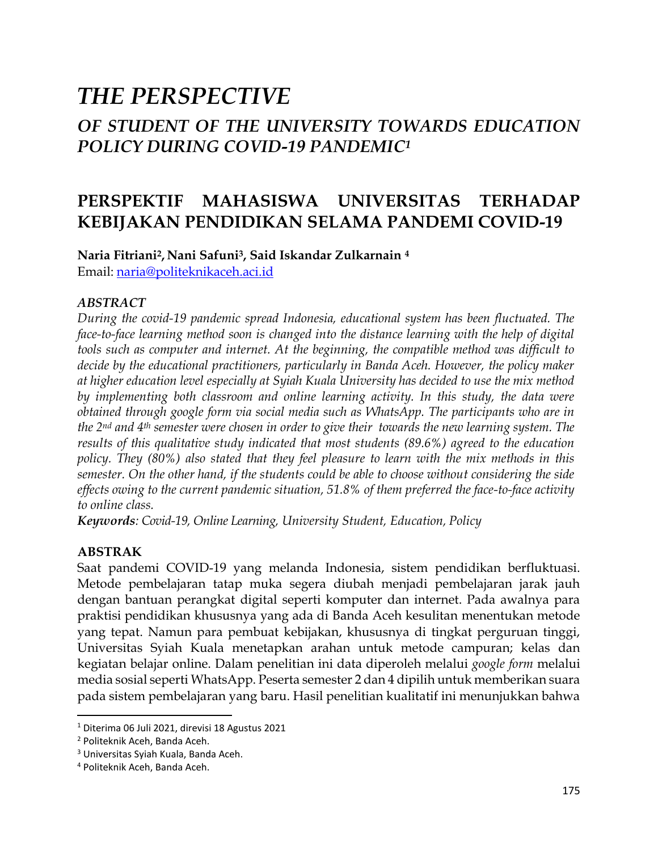# *THE PERSPECTIVE OF STUDENT OF THE UNIVERSITY TOWARDS EDUCATION POLICY DURING COVID-19 PANDEMIC<sup>1</sup>*

# **PERSPEKTIF MAHASISWA UNIVERSITAS TERHADAP KEBIJAKAN PENDIDIKAN SELAMA PANDEMI COVID-19**

**Naria Fitriani2, Nani Safuni3, Said Iskandar Zulkarnain <sup>4</sup>** Email: [naria@politeknikaceh.aci.id](mailto:naria@politeknikaceh.aci.id)

#### *ABSTRACT*

*During the covid-19 pandemic spread Indonesia, educational system has been fluctuated. The face-to-face learning method soon is changed into the distance learning with the help of digital tools such as computer and internet. At the beginning, the compatible method was difficult to decide by the educational practitioners, particularly in Banda Aceh. However, the policy maker at higher education level especially at Syiah Kuala University has decided to use the mix method by implementing both classroom and online learning activity. In this study, the data were obtained through google form via social media such as WhatsApp. The participants who are in the 2nd and 4th semester were chosen in order to give their towards the new learning system. The results of this qualitative study indicated that most students (89.6%) agreed to the education policy. They (80%) also stated that they feel pleasure to learn with the mix methods in this semester. On the other hand, if the students could be able to choose without considering the side effects owing to the current pandemic situation, 51.8% of them preferred the face-to-face activity to online class.* 

*Keywords: Covid-19, Online Learning, University Student, Education, Policy*

#### **ABSTRAK**

Saat pandemi COVID-19 yang melanda Indonesia, sistem pendidikan berfluktuasi. Metode pembelajaran tatap muka segera diubah menjadi pembelajaran jarak jauh dengan bantuan perangkat digital seperti komputer dan internet. Pada awalnya para praktisi pendidikan khususnya yang ada di Banda Aceh kesulitan menentukan metode yang tepat. Namun para pembuat kebijakan, khususnya di tingkat perguruan tinggi, Universitas Syiah Kuala menetapkan arahan untuk metode campuran; kelas dan kegiatan belajar online. Dalam penelitian ini data diperoleh melalui *google form* melalui media sosial seperti WhatsApp. Peserta semester 2 dan 4 dipilih untuk memberikan suara pada sistem pembelajaran yang baru. Hasil penelitian kualitatif ini menunjukkan bahwa

 $1$  Diterima 06 Juli 2021, direvisi 18 Agustus 2021

<sup>2</sup> Politeknik Aceh, Banda Aceh.

<sup>3</sup> Universitas Syiah Kuala, Banda Aceh.

<sup>4</sup> Politeknik Aceh, Banda Aceh.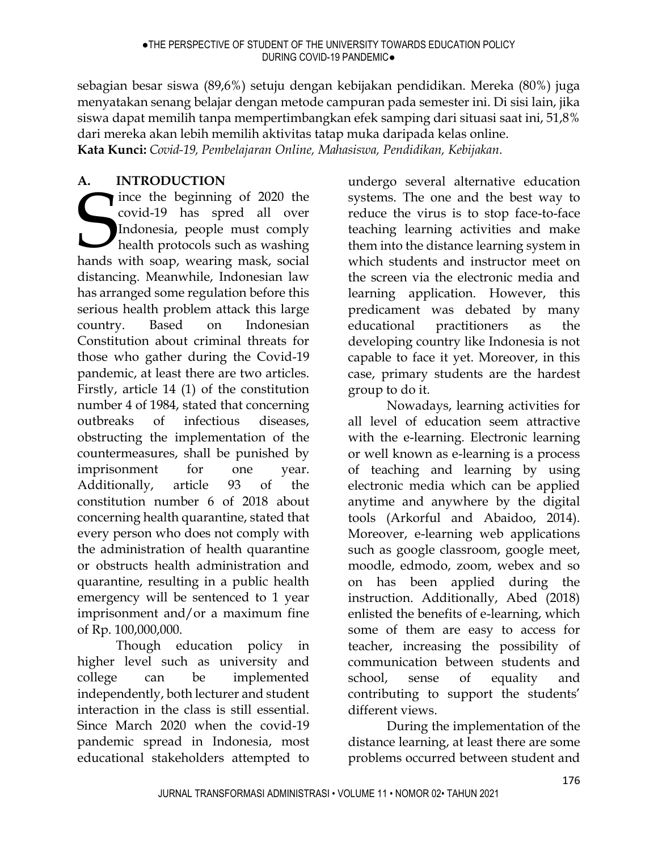sebagian besar siswa (89,6%) setuju dengan kebijakan pendidikan. Mereka (80%) juga menyatakan senang belajar dengan metode campuran pada semester ini. Di sisi lain, jika siswa dapat memilih tanpa mempertimbangkan efek samping dari situasi saat ini, 51,8% dari mereka akan lebih memilih aktivitas tatap muka daripada kelas online.

**Kata Kunci:** *Covid-19, Pembelajaran Online, Mahasiswa, Pendidikan, Kebijakan.*

# **A. INTRODUCTION**

ince the beginning of 2020 the covid-19 has spred all over Indonesia, people must comply health protocols such as washing ince the beginning of 2020 the covid-19 has spred all over Indonesia, people must comply health protocols such as washing hands with soap, wearing mask, social distancing. Meanwhile, Indonesian law has arranged some regulation before this serious health problem attack this large country. Based on Indonesian Constitution about criminal threats for those who gather during the Covid-19 pandemic, at least there are two articles. Firstly, article 14 (1) of the constitution number 4 of 1984, stated that concerning outbreaks of infectious diseases, obstructing the implementation of the countermeasures, shall be punished by imprisonment for one year. Additionally, article 93 of the constitution number 6 of 2018 about concerning health quarantine, stated that every person who does not comply with the administration of health quarantine or obstructs health administration and quarantine, resulting in a public health emergency will be sentenced to 1 year imprisonment and/or a maximum fine of Rp. 100,000,000.

Though education policy in higher level such as university and college can be implemented independently, both lecturer and student interaction in the class is still essential. Since March 2020 when the covid-19 pandemic spread in Indonesia, most educational stakeholders attempted to

undergo several alternative education systems. The one and the best way to reduce the virus is to stop face-to-face teaching learning activities and make them into the distance learning system in which students and instructor meet on the screen via the electronic media and learning application. However, this predicament was debated by many educational practitioners as the developing country like Indonesia is not capable to face it yet. Moreover, in this case, primary students are the hardest group to do it.

Nowadays, learning activities for all level of education seem attractive with the e-learning. Electronic learning or well known as e-learning is a process of teaching and learning by using electronic media which can be applied anytime and anywhere by the digital tools (Arkorful and Abaidoo, 2014). Moreover, e-learning web applications such as google classroom, google meet, moodle, edmodo, zoom, webex and so on has been applied during the instruction. Additionally, Abed (2018) enlisted the benefits of e-learning, which some of them are easy to access for teacher, increasing the possibility of communication between students and school, sense of equality and contributing to support the students' different views.

During the implementation of the distance learning, at least there are some problems occurred between student and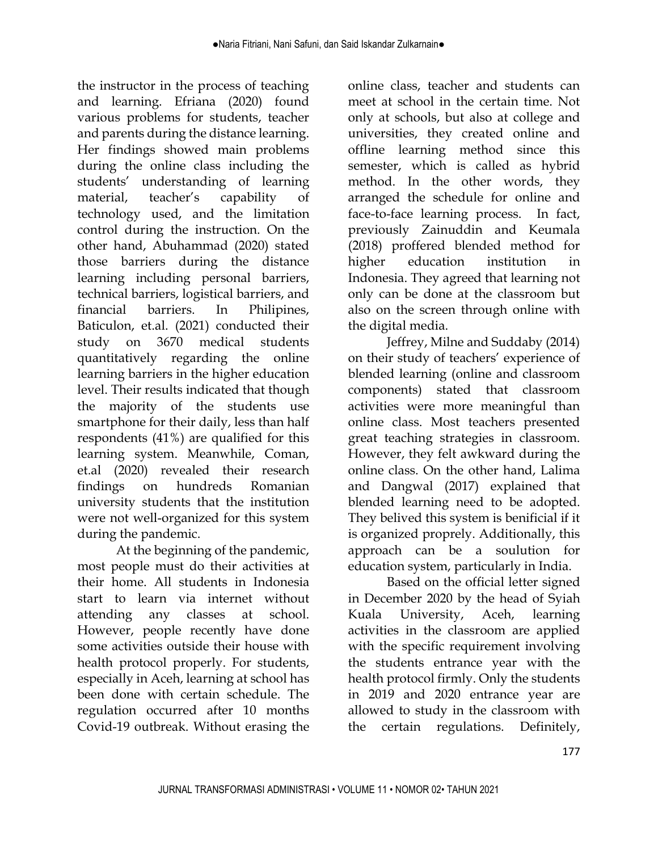the instructor in the process of teaching and learning. Efriana (2020) found various problems for students, teacher and parents during the distance learning. Her findings showed main problems during the online class including the students' understanding of learning material, teacher's capability of technology used, and the limitation control during the instruction. On the other hand, Abuhammad (2020) stated those barriers during the distance learning including personal barriers, technical barriers, logistical barriers, and financial barriers. In Philipines, Baticulon, et.al. (2021) conducted their study on 3670 medical students quantitatively regarding the online learning barriers in the higher education level. Their results indicated that though the majority of the students use smartphone for their daily, less than half respondents (41%) are qualified for this learning system. Meanwhile, Coman, et.al (2020) revealed their research findings on hundreds Romanian university students that the institution were not well-organized for this system during the pandemic.

At the beginning of the pandemic, most people must do their activities at their home. All students in Indonesia start to learn via internet without attending any classes at school. However, people recently have done some activities outside their house with health protocol properly. For students, especially in Aceh, learning at school has been done with certain schedule. The regulation occurred after 10 months Covid-19 outbreak. Without erasing the

online class, teacher and students can meet at school in the certain time. Not only at schools, but also at college and universities, they created online and offline learning method since this semester, which is called as hybrid method. In the other words, they arranged the schedule for online and face-to-face learning process. In fact, previously Zainuddin and Keumala (2018) proffered blended method for higher education institution in Indonesia. They agreed that learning not only can be done at the classroom but also on the screen through online with the digital media.

Jeffrey, Milne and Suddaby (2014) on their study of teachers' experience of blended learning (online and classroom components) stated that classroom activities were more meaningful than online class. Most teachers presented great teaching strategies in classroom. However, they felt awkward during the online class. On the other hand, Lalima and Dangwal (2017) explained that blended learning need to be adopted. They belived this system is benificial if it is organized proprely. Additionally, this approach can be a soulution for education system, particularly in India.

Based on the official letter signed in December 2020 by the head of Syiah Kuala University, Aceh, learning activities in the classroom are applied with the specific requirement involving the students entrance year with the health protocol firmly. Only the students in 2019 and 2020 entrance year are allowed to study in the classroom with the certain regulations. Definitely,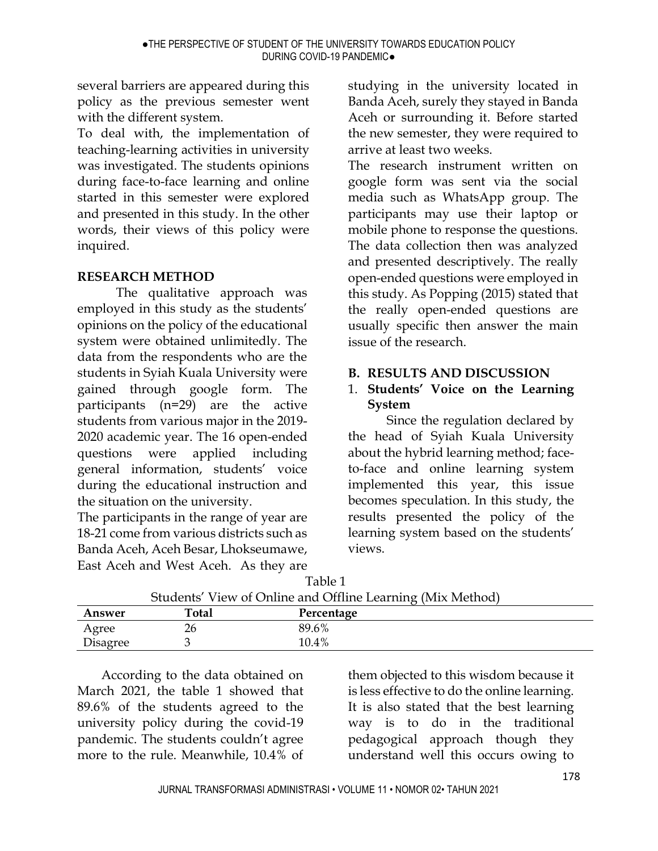several barriers are appeared during this policy as the previous semester went with the different system.

To deal with, the implementation of teaching-learning activities in university was investigated. The students opinions during face-to-face learning and online started in this semester were explored and presented in this study. In the other words, their views of this policy were inquired.

## **RESEARCH METHOD**

The qualitative approach was employed in this study as the students' opinions on the policy of the educational system were obtained unlimitedly. The data from the respondents who are the students in Syiah Kuala University were gained through google form. The participants (n=29) are the active students from various major in the 2019- 2020 academic year. The 16 open-ended questions were applied including general information, students' voice during the educational instruction and the situation on the university.

The participants in the range of year are 18-21 come from various districts such as Banda Aceh, Aceh Besar, Lhokseumawe, East Aceh and West Aceh. As they are

studying in the university located in Banda Aceh, surely they stayed in Banda Aceh or surrounding it. Before started the new semester, they were required to arrive at least two weeks.

The research instrument written on google form was sent via the social media such as WhatsApp group. The participants may use their laptop or mobile phone to response the questions. The data collection then was analyzed and presented descriptively. The really open-ended questions were employed in this study. As Popping (2015) stated that the really open-ended questions are usually specific then answer the main issue of the research.

## **B. RESULTS AND DISCUSSION**

## 1. **Students' Voice on the Learning System**

Since the regulation declared by the head of Syiah Kuala University about the hybrid learning method; faceto-face and online learning system implemented this year, this issue becomes speculation. In this study, the results presented the policy of the learning system based on the students' views.

| Students' View of Online and Offline Learning (Mix Method) |       |            |  |  |  |
|------------------------------------------------------------|-------|------------|--|--|--|
| Answer                                                     | Total | Percentage |  |  |  |
| Agree                                                      | 26    | 89.6%      |  |  |  |
| Disagree                                                   |       | 10.4%      |  |  |  |

Table 1

According to the data obtained on March 2021, the table 1 showed that 89.6% of the students agreed to the university policy during the covid-19 pandemic. The students couldn't agree more to the rule. Meanwhile, 10.4% of

them objected to this wisdom because it is less effective to do the online learning. It is also stated that the best learning way is to do in the traditional pedagogical approach though they understand well this occurs owing to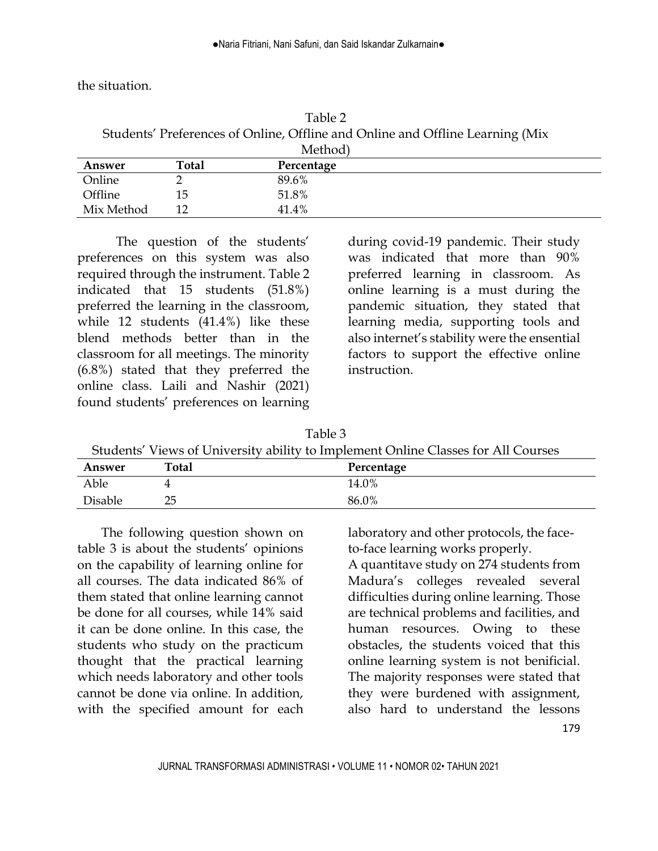the situation.

Table 2 Students' Preferences of Online, Offline and Online and Offline Learning (Mix M<sub>othod</sub>)

| Answer     | Total | Percentage |  |
|------------|-------|------------|--|
| Online     |       | 89.6%      |  |
| Offline    | 15    | 51.8%      |  |
| Mix Method | 1 O   | 41.4%      |  |

The question of the students' preferences on this system was also required through the instrument. Table 2 indicated that 15 students (51.8%) preferred the learning in the classroom, while 12 students (41.4%) like these blend methods better than in the classroom for all meetings. The minority (6.8%) stated that they preferred the online class. Laili and Nashir (2021) found students' preferences on learning during covid-19 pandemic. Their study was indicated that more than 90% preferred learning in classroom. As online learning is a must during the pandemic situation, they stated that learning media, supporting tools and also internet's stability were the ensential factors to support the effective online instruction.

Table 3 Students' Views of University ability to Implement Online Classes for All Courses **Answer Total Percentage** Able 4 14.0%  $Disable$  25 86.0%

The following question shown on table 3 is about the students' opinions on the capability of learning online for all courses. The data indicated 86% of them stated that online learning cannot be done for all courses, while 14% said it can be done online. In this case, the students who study on the practicum thought that the practical learning which needs laboratory and other tools cannot be done via online. In addition, with the specified amount for each

laboratory and other protocols, the faceto-face learning works properly.

179 A quantitave study on 274 students from Madura's colleges revealed several difficulties during online learning. Those are technical problems and facilities, and human resources. Owing to these obstacles, the students voiced that this online learning system is not benificial. The majority responses were stated that they were burdened with assignment, also hard to understand the lessons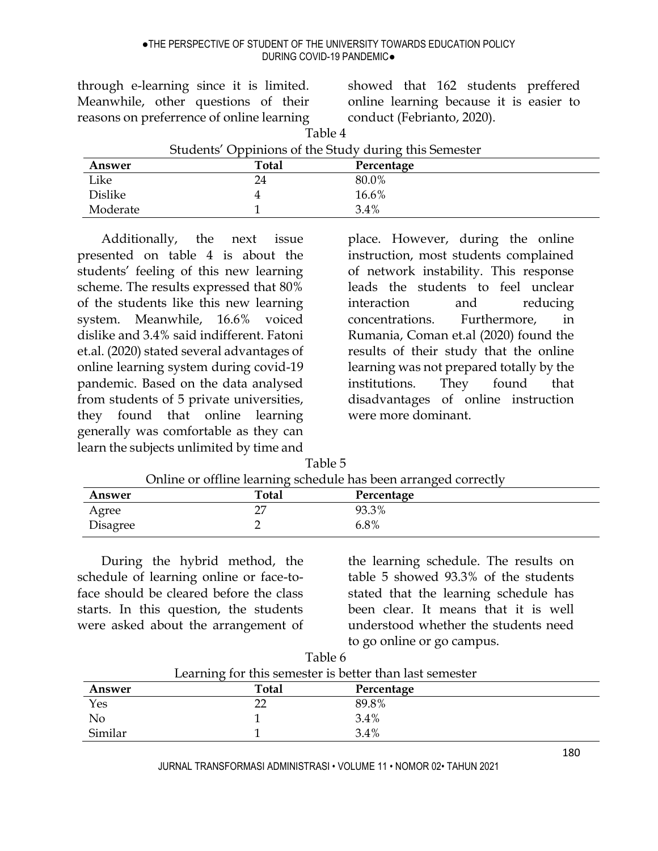Table 4

through e-learning since it is limited. Meanwhile, other questions of their reasons on preferrence of online learning

showed that 162 students preffered online learning because it is easier to conduct (Febrianto, 2020).

| Students' Oppinions of the Study during this Semester |       |            |  |  |
|-------------------------------------------------------|-------|------------|--|--|
| Answer                                                | Total | Percentage |  |  |
| Like                                                  | 24    | 80.0%      |  |  |
| Dislike                                               |       | 16.6%      |  |  |
| Moderate                                              |       | 3.4%       |  |  |

Additionally, the next issue presented on table 4 is about the students' feeling of this new learning scheme. The results expressed that 80% of the students like this new learning system. Meanwhile, 16.6% voiced dislike and 3.4% said indifferent. Fatoni et.al. (2020) stated several advantages of online learning system during covid-19 pandemic. Based on the data analysed from students of 5 private universities, they found that online learning generally was comfortable as they can learn the subjects unlimited by time and place. However, during the online instruction, most students complained of network instability. This response leads the students to feel unclear interaction and reducing concentrations. Furthermore, in Rumania, Coman et.al (2020) found the results of their study that the online learning was not prepared totally by the institutions. They found that disadvantages of online instruction were more dominant.

|          | Online or offline learning schedule has been arranged correctly |            |  |  |
|----------|-----------------------------------------------------------------|------------|--|--|
| Answer   | <b>Total</b>                                                    | Percentage |  |  |
| Agree    |                                                                 | 93.3%      |  |  |
| Disagree |                                                                 | 6.8%       |  |  |

Table 5

During the hybrid method, the schedule of learning online or face-toface should be cleared before the class starts. In this question, the students

were asked about the arrangement of

the learning schedule. The results on table 5 showed 93.3% of the students stated that the learning schedule has been clear. It means that it is well understood whether the students need to go online or go campus.

|                                                         | Table 6 |            |  |  |
|---------------------------------------------------------|---------|------------|--|--|
| Learning for this semester is better than last semester |         |            |  |  |
| Answer                                                  | Total   | Percentage |  |  |
| Yes                                                     | 22      | 89.8%      |  |  |
| N <sub>o</sub>                                          |         | 3.4%       |  |  |
| Similar                                                 |         | $3.4\%$    |  |  |

JURNAL TRANSFORMASI ADMINISTRASI • VOLUME 11 • NOMOR 02• TAHUN 2021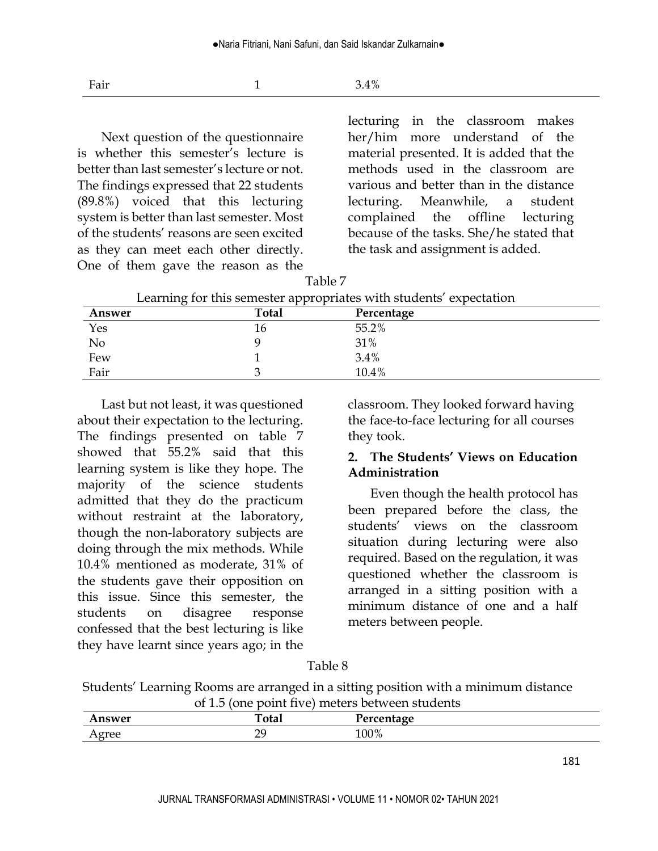Fair  $1$  3.4%

Next question of the questionnaire is whether this semester's lecture is better than last semester's lecture or not. The findings expressed that 22 students (89.8%) voiced that this lecturing system is better than last semester. Most of the students' reasons are seen excited as they can meet each other directly. One of them gave the reason as the lecturing in the classroom makes her/him more understand of the material presented. It is added that the methods used in the classroom are various and better than in the distance lecturing. Meanwhile, a student complained the offline lecturing because of the tasks. She/he stated that the task and assignment is added.

| Learning for this semester appropriates with students' expectation |       |            |  |  |
|--------------------------------------------------------------------|-------|------------|--|--|
| Answer                                                             | Total | Percentage |  |  |
| Yes                                                                | 16    | 55.2%      |  |  |
| No                                                                 |       | 31%        |  |  |
| Few                                                                |       | 3.4%       |  |  |
| Fair                                                               |       | 10.4%      |  |  |

Table 7

Last but not least, it was questioned about their expectation to the lecturing. The findings presented on table 7 showed that 55.2% said that this learning system is like they hope. The majority of the science students admitted that they do the practicum without restraint at the laboratory, though the non-laboratory subjects are doing through the mix methods. While 10.4% mentioned as moderate, 31% of the students gave their opposition on this issue. Since this semester, the students on disagree response confessed that the best lecturing is like they have learnt since years ago; in the classroom. They looked forward having the face-to-face lecturing for all courses they took.

#### **2. The Students' Views on Education Administration**

Even though the health protocol has been prepared before the class, the students' views on the classroom situation during lecturing were also required. Based on the regulation, it was questioned whether the classroom is arranged in a sitting position with a minimum distance of one and a half meters between people.

#### Table 8

Students' Learning Rooms are arranged in a sitting position with a minimum distance of 1.5 (one point five) meters between students

| mswer                  | <b>Total</b>   | Percentage |  |
|------------------------|----------------|------------|--|
| $\alpha$ roo<br>772166 | nc<br><u>_</u> | $100\%$    |  |
|                        |                |            |  |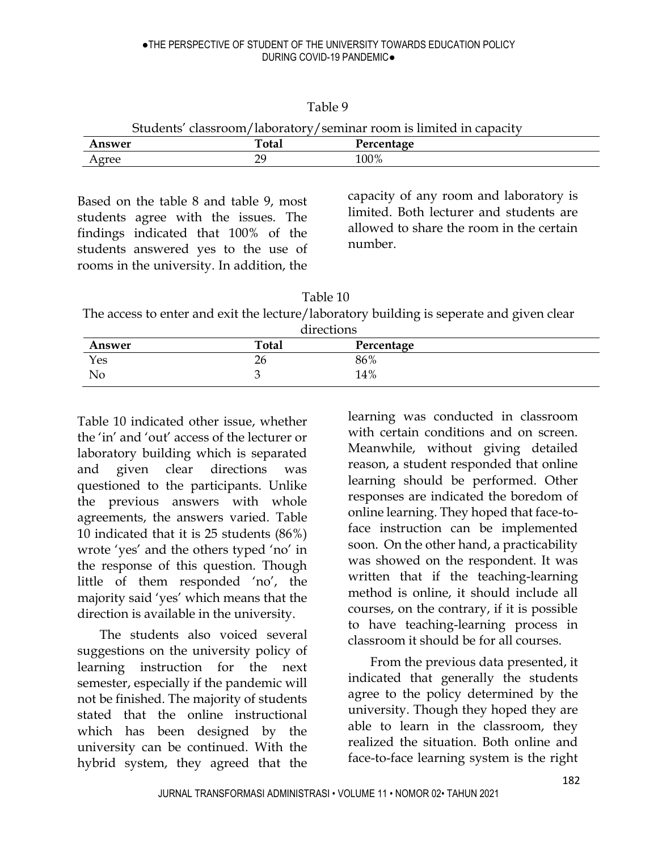| 'able ' | 9 |
|---------|---|
|---------|---|

Students' classroom/laboratory/seminar room is limited in capacity

| 0.71704                    | $T_{\alpha\lambda\alpha}$      | .        |
|----------------------------|--------------------------------|----------|
| ---                        | uai                            | $\bm{a}$ |
| $-$ 0.00<br>$\overline{1}$ | ററ<br>$\overline{\phantom{0}}$ | 100%     |

Based on the table 8 and table 9, most students agree with the issues. The findings indicated that 100% of the students answered yes to the use of rooms in the university. In addition, the

capacity of any room and laboratory is limited. Both lecturer and students are allowed to share the room in the certain number.

Table 10

The access to enter and exit the lecture/laboratory building is seperate and given clear directions

| Answer | <b>Total</b> | ullections<br>Percentage |  |
|--------|--------------|--------------------------|--|
| Yes    | ົ່<br>۷b     | 86%                      |  |
| No     |              | 14%                      |  |

Table 10 indicated other issue, whether the 'in' and 'out' access of the lecturer or laboratory building which is separated and given clear directions was questioned to the participants. Unlike the previous answers with whole agreements, the answers varied. Table 10 indicated that it is 25 students (86%) wrote 'yes' and the others typed 'no' in the response of this question. Though little of them responded 'no', the majority said 'yes' which means that the direction is available in the university.

The students also voiced several suggestions on the university policy of learning instruction for the next semester, especially if the pandemic will not be finished. The majority of students stated that the online instructional which has been designed by the university can be continued. With the hybrid system, they agreed that the

learning was conducted in classroom with certain conditions and on screen. Meanwhile, without giving detailed reason, a student responded that online learning should be performed. Other responses are indicated the boredom of online learning. They hoped that face-toface instruction can be implemented soon. On the other hand, a practicability was showed on the respondent. It was written that if the teaching-learning method is online, it should include all courses, on the contrary, if it is possible to have teaching-learning process in classroom it should be for all courses.

From the previous data presented, it indicated that generally the students agree to the policy determined by the university. Though they hoped they are able to learn in the classroom, they realized the situation. Both online and face-to-face learning system is the right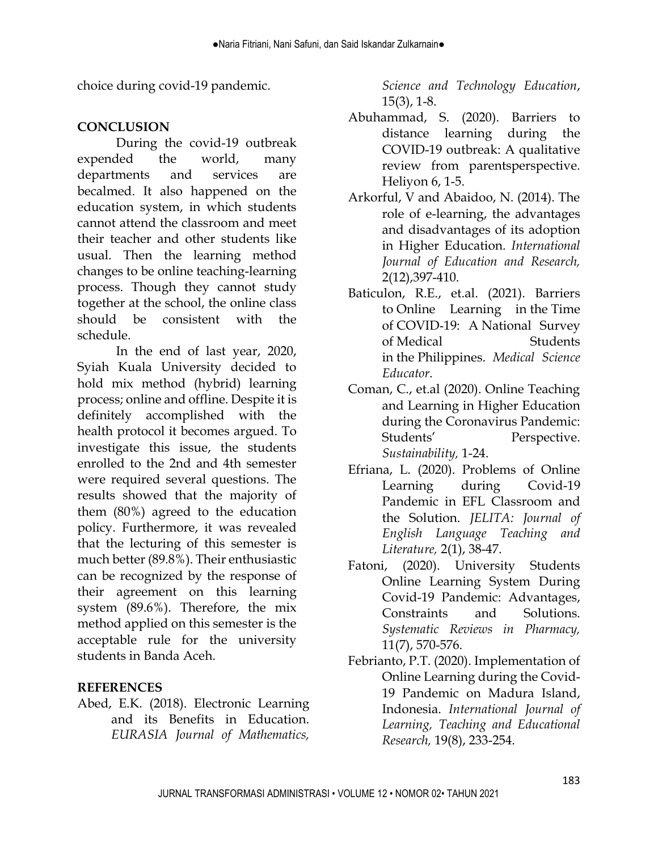choice during covid-19 pandemic.

## **CONCLUSION**

During the covid-19 outbreak expended the world, many departments and services are becalmed. It also happened on the education system, in which students cannot attend the classroom and meet their teacher and other students like usual. Then the learning method changes to be online teaching-learning process. Though they cannot study together at the school, the online class should be consistent with the schedule.

In the end of last year, 2020, Syiah Kuala University decided to hold mix method (hybrid) learning process; online and offline. Despite it is definitely accomplished with the health protocol it becomes argued. To investigate this issue, the students enrolled to the 2nd and 4th semester were required several questions. The results showed that the majority of them (80%) agreed to the education policy. Furthermore, it was revealed that the lecturing of this semester is much better (89.8%). Their enthusiastic can be recognized by the response of their agreement on this learning system (89.6%). Therefore, the mix method applied on this semester is the acceptable rule for the university students in Banda Aceh.

## **REFERENCES**

Abed, E.K. (2018). Electronic Learning and its Benefits in Education. *EURASIA Journal of Mathematics,* 

*Science and Technology Education*, 15(3), 1-8.

- Abuhammad, S. (2020). Barriers to distance learning during the COVID-19 outbreak: A qualitative review from parentsperspective. Heliyon 6, 1-5.
- Arkorful, V and Abaidoo, N. (2014). The role of e-learning, the advantages and disadvantages of its adoption in Higher Education*. International Journal of Education and Research,*  2(12),397-410.
- Baticulon, R.E., et.al. (2021). Barriers to Online Learning in the Time of COVID‑19: A National Survey of Medical Students in the Philippines. *Medical Science Educator*.
- Coman, C., et.al (2020). Online Teaching and Learning in Higher Education during the Coronavirus Pandemic: Students' Perspective. *Sustainability,* 1-24.
- Efriana, L. (2020). Problems of Online Learning during Covid-19 Pandemic in EFL Classroom and the Solution. *JELITA: Journal of English Language Teaching and Literature,* 2(1), 38-47.
- Fatoni, (2020). University Students Online Learning System During Covid-19 Pandemic: Advantages, Constraints and Solutions. *Systematic Reviews in Pharmacy,*  11(7), 570-576.
- Febrianto, P.T. (2020). Implementation of Online Learning during the Covid-19 Pandemic on Madura Island, Indonesia. *International Journal of Learning, Teaching and Educational Research,* 19(8), 233-254.